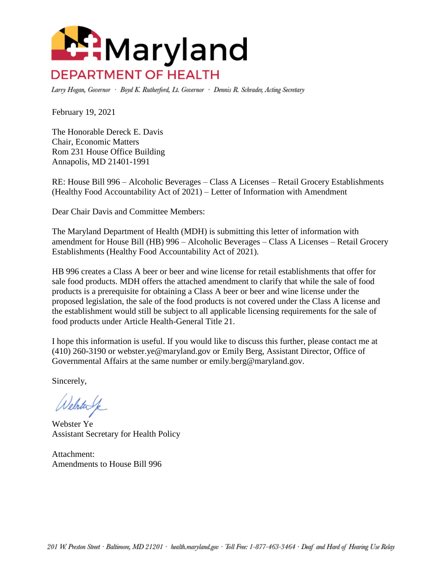

Larry Hogan, Governor · Boyd K. Rutherford, Lt. Governor · Dennis R. Schrader, Acting Secretary

February 19, 2021

The Honorable Dereck E. Davis Chair, Economic Matters Rom 231 House Office Building Annapolis, MD 21401-1991

RE: House Bill 996 – Alcoholic Beverages – Class A Licenses – Retail Grocery Establishments (Healthy Food Accountability Act of 2021) – Letter of Information with Amendment

Dear Chair Davis and Committee Members:

The Maryland Department of Health (MDH) is submitting this letter of information with amendment for House Bill (HB) 996 – Alcoholic Beverages – Class A Licenses – Retail Grocery Establishments (Healthy Food Accountability Act of 2021).

HB 996 creates a Class A beer or beer and wine license for retail establishments that offer for sale food products. MDH offers the attached amendment to clarify that while the sale of food products is a prerequisite for obtaining a Class A beer or beer and wine license under the proposed legislation, the sale of the food products is not covered under the Class A license and the establishment would still be subject to all applicable licensing requirements for the sale of food products under Article Health-General Title 21.

I hope this information is useful. If you would like to discuss this further, please contact me at (410) 260-3190 or webster.ye@maryland.gov or Emily Berg, Assistant Director, Office of Governmental Affairs at the same number or emily.berg@maryland.gov.

Sincerely,

Welsterk

Webster Ye Assistant Secretary for Health Policy

Attachment: Amendments to House Bill 996